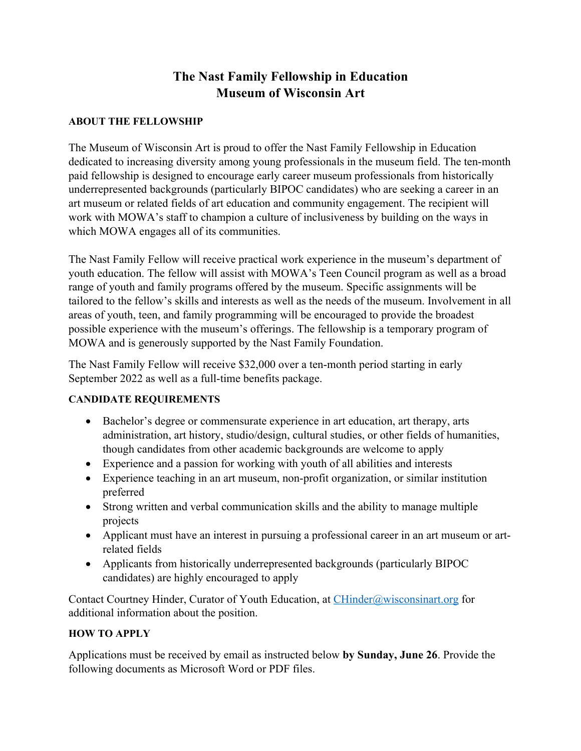# **The Nast Family Fellowship in Education Museum of Wisconsin Art**

#### **ABOUT THE FELLOWSHIP**

The Museum of Wisconsin Art is proud to offer the Nast Family Fellowship in Education dedicated to increasing diversity among young professionals in the museum field. The ten-month paid fellowship is designed to encourage early career museum professionals from historically underrepresented backgrounds (particularly BIPOC candidates) who are seeking a career in an art museum or related fields of art education and community engagement. The recipient will work with MOWA's staff to champion a culture of inclusiveness by building on the ways in which MOWA engages all of its communities.

The Nast Family Fellow will receive practical work experience in the museum's department of youth education. The fellow will assist with MOWA's Teen Council program as well as a broad range of youth and family programs offered by the museum. Specific assignments will be tailored to the fellow's skills and interests as well as the needs of the museum. Involvement in all areas of youth, teen, and family programming will be encouraged to provide the broadest possible experience with the museum's offerings. The fellowship is a temporary program of MOWA and is generously supported by the Nast Family Foundation.

The Nast Family Fellow will receive \$32,000 over a ten-month period starting in early September 2022 as well as a full-time benefits package.

### **CANDIDATE REQUIREMENTS**

- Bachelor's degree or commensurate experience in art education, art therapy, arts administration, art history, studio/design, cultural studies, or other fields of humanities, though candidates from other academic backgrounds are welcome to apply
- Experience and a passion for working with youth of all abilities and interests
- Experience teaching in an art museum, non-profit organization, or similar institution preferred
- Strong written and verbal communication skills and the ability to manage multiple projects
- Applicant must have an interest in pursuing a professional career in an art museum or artrelated fields
- Applicants from historically underrepresented backgrounds (particularly BIPOC candidates) are highly encouraged to apply

Contact Courtney Hinder, Curator of Youth Education, at CHinder@wisconsinart.org for additional information about the position.

### **HOW TO APPLY**

Applications must be received by email as instructed below **by Sunday, June 26**. Provide the following documents as Microsoft Word or PDF files.